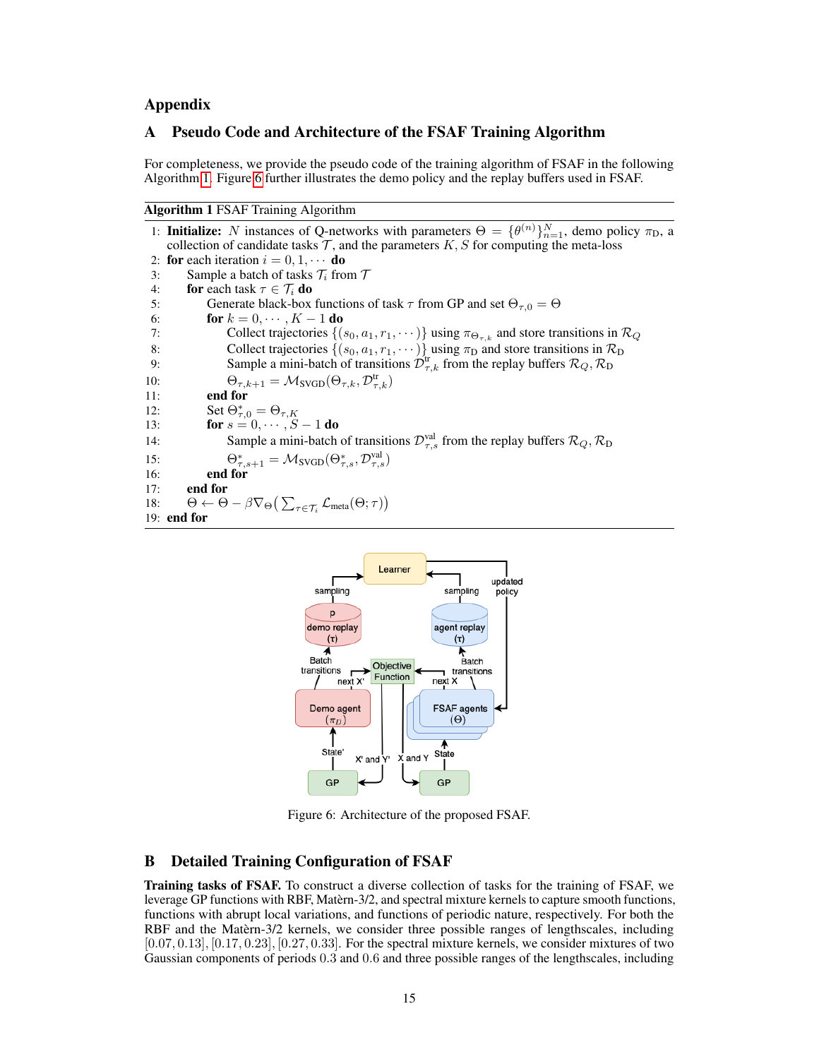## Appendix

# A Pseudo Code and Architecture of the FSAF Training Algorithm

For completeness, we provide the pseudo code of the training algorithm of FSAF in the following Algorithm [1.](#page-0-0) Figure [6](#page-0-1) further illustrates the demo policy and the replay buffers used in FSAF.

Algorithm 1 FSAF Training Algorithm

```
1: Initialize: N instances of Q-networks with parameters \Theta = {\theta^{(n)}}_{n=1}^N, demo policy \pi_D, a
     collection of candidate tasks \mathcal T, and the parameters K, S for computing the meta-loss
 2: for each iteration i = 0, 1, \cdots do
 3: Sample a batch of tasks \mathcal{T}_i from \mathcal{T}<br>4: for each task \tau \in \mathcal{T}_i do
 4: for each task \tau \in \mathcal{T}_i do<br>5: Generate black-box
                Generate black-box functions of task \tau from GP and set \Theta_{\tau,0} = \Theta6: for k = 0, \dots, K - 1 do
 7: Collect trajectories \{(s_0, a_1, r_1, \dots)\} using \pi_{\Theta_{\tau,k}} and store transitions in \mathcal{R}_Q8: Collect trajectories \{(s_0, a_1, r_1, \dots)\}\using \pi_D and store transitions in \mathcal{R}_D9: Sample a mini-batch of transitions \mathcal{D}_{\tau,k}^{\text{tr}} from the replay buffers \mathcal{R}_Q, \mathcal{R}_D10: \Theta_{\tau,k+1} = \mathcal{M}_{\text{SVGD}}(\Theta_{\tau,k}, \mathcal{D}_{\tau,k}^{\text{tr}})11: end for
12: Set \Theta_{\tau,0}^* = \Theta_{\tau,K}13: for s = 0, \dots, S - 1 do
14: Sample a mini-batch of transitions \mathcal{D}_{\tau,s}^{\text{val}} from the replay buffers \mathcal{R}_Q, \mathcal{R}_D15: \Theta_{\tau,s+1}^* = \mathcal{M}_{\text{SVGD}}(\Theta_{\tau,s}^*, \mathcal{D}_{\tau,s}^{\text{val}})16: end for
17: end for
18: \Theta \leftarrow \Theta - \beta \nabla_{\Theta} \big( \sum_{\tau \in \mathcal{T}_i} \mathcal{L}_{meta}(\Theta; \tau) \big)19: end for
```


Figure 6: Architecture of the proposed FSAF.

# <span id="page-0-2"></span><span id="page-0-1"></span>B Detailed Training Configuration of FSAF

Training tasks of FSAF. To construct a diverse collection of tasks for the training of FSAF, we leverage GP functions with RBF, Matèrn-3/2, and spectral mixture kernels to capture smooth functions, functions with abrupt local variations, and functions of periodic nature, respectively. For both the RBF and the Matèrn-3/2 kernels, we consider three possible ranges of lengthscales, including  $[0.07, 0.13]$ ,  $[0.17, 0.23]$ ,  $[0.27, 0.33]$ . For the spectral mixture kernels, we consider mixtures of two Gaussian components of periods 0.3 and 0.6 and three possible ranges of the lengthscales, including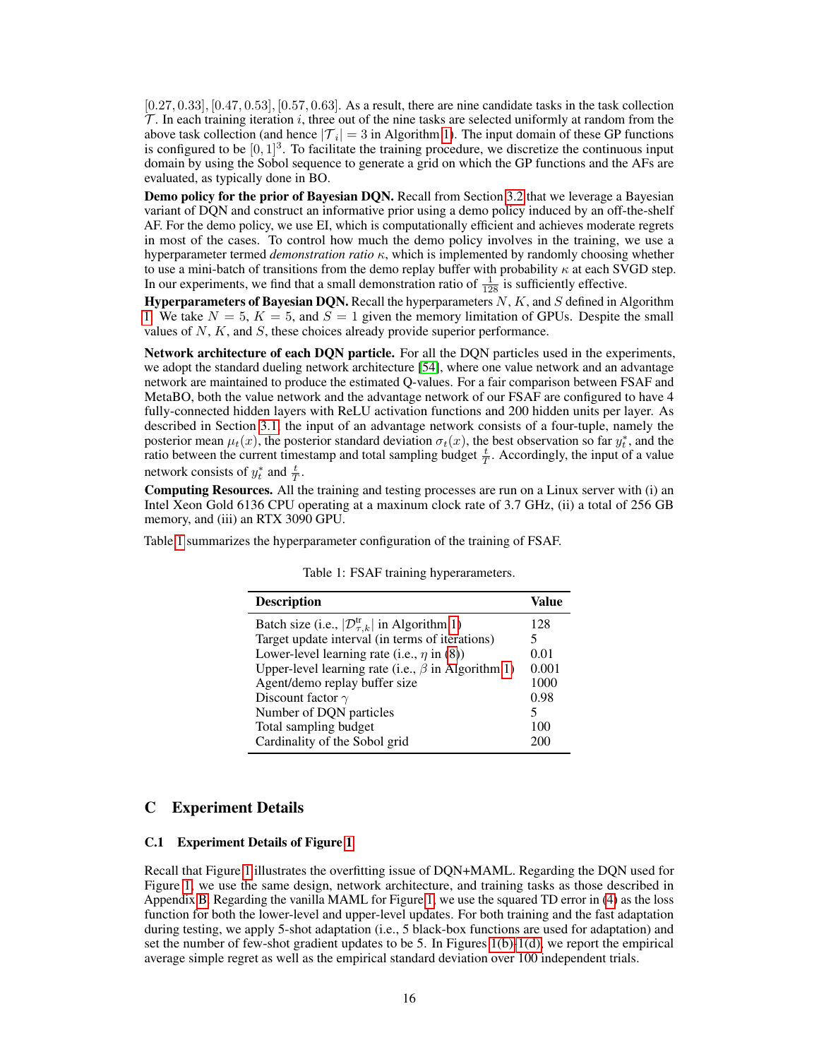$[0.27, 0.33]$ ,  $[0.47, 0.53]$ ,  $[0.57, 0.63]$ . As a result, there are nine candidate tasks in the task collection  $\mathcal T$ . In each training iteration i, three out of the nine tasks are selected uniformly at random from the above task collection (and hence  $|\mathcal{T}_i| = 3$  in Algorithm [1\)](#page-0-0). The input domain of these GP functions is configured to be  $[0, 1]^3$ . To facilitate the training procedure, we discretize the continuous input domain by using the Sobol sequence to generate a grid on which the GP functions and the AFs are evaluated, as typically done in BO.

Demo policy for the prior of Bayesian DQN. Recall from Section [3.2](#page--1-0) that we leverage a Bayesian variant of DQN and construct an informative prior using a demo policy induced by an off-the-shelf AF. For the demo policy, we use EI, which is computationally efficient and achieves moderate regrets in most of the cases. To control how much the demo policy involves in the training, we use a hyperparameter termed *demonstration ratio* κ, which is implemented by randomly choosing whether to use a mini-batch of transitions from the demo replay buffer with probability  $\kappa$  at each SVGD step. In our experiments, we find that a small demonstration ratio of  $\frac{1}{128}$  is sufficiently effective.

Hyperparameters of Bayesian DQN. Recall the hyperparameters  $N$ ,  $K$ , and  $S$  defined in Algorithm [1.](#page-0-0) We take  $N = 5$ ,  $K = 5$ , and  $S = 1$  given the memory limitation of GPUs. Despite the small values of  $N$ ,  $K$ , and  $S$ , these choices already provide superior performance.

Network architecture of each DQN particle. For all the DQN particles used in the experiments, we adopt the standard dueling network architecture [\[54\]](#page--1-1), where one value network and an advantage network are maintained to produce the estimated Q-values. For a fair comparison between FSAF and MetaBO, both the value network and the advantage network of our FSAF are configured to have 4 fully-connected hidden layers with ReLU activation functions and 200 hidden units per layer. As described in Section [3.1,](#page--1-2) the input of an advantage network consists of a four-tuple, namely the posterior mean  $\mu_t(x)$ , the posterior standard deviation  $\sigma_t(x)$ , the best observation so far  $y_t^*$ , and the ratio between the current timestamp and total sampling budget  $\frac{t}{T}$ . Accordingly, the input of a value network consists of  $y_t^*$  and  $\frac{t}{T}$ .

Computing Resources. All the training and testing processes are run on a Linux server with (i) an Intel Xeon Gold 6136 CPU operating at a maxinum clock rate of 3.7 GHz, (ii) a total of 256 GB memory, and (iii) an RTX 3090 GPU.

<span id="page-1-0"></span>Table [1](#page-1-0) summarizes the hyperparameter configuration of the training of FSAF.

| <b>Description</b>                                              | Value |
|-----------------------------------------------------------------|-------|
| Batch size (i.e., $ \mathcal{D}_{\tau,k}^{tr} $ in Algorithm 1) | 128   |
| Target update interval (in terms of iterations)                 | 5     |
| Lower-level learning rate (i.e., $\eta$ in (8))                 | 0.01  |
| Upper-level learning rate (i.e., $\beta$ in Algorithm 1)        | 0.001 |
| Agent/demo replay buffer size                                   | 1000  |
| Discount factor $\gamma$                                        | 0.98  |
| Number of DQN particles                                         |       |
| Total sampling budget                                           | 100   |
| Cardinality of the Sobol grid                                   | 20 N  |

|  |  |  |  | Table 1: FSAF training hyperarameters. |
|--|--|--|--|----------------------------------------|
|--|--|--|--|----------------------------------------|

### C Experiment Details

#### C.1 Experiment Details of Figure [1](#page--1-4)

Recall that Figure [1](#page--1-4) illustrates the overfitting issue of DQN+MAML. Regarding the DQN used for Figure [1,](#page--1-4) we use the same design, network architecture, and training tasks as those described in Appendix [B.](#page-0-2) Regarding the vanilla MAML for Figure [1,](#page--1-4) we use the squared TD error in [\(4\)](#page--1-5) as the loss function for both the lower-level and upper-level updates. For both training and the fast adaptation during testing, we apply 5-shot adaptation (i.e., 5 black-box functions are used for adaptation) and set the number of few-shot gradient updates to be 5. In Figures  $1(b)-1(d)$ , we report the empirical average simple regret as well as the empirical standard deviation over 100 independent trials.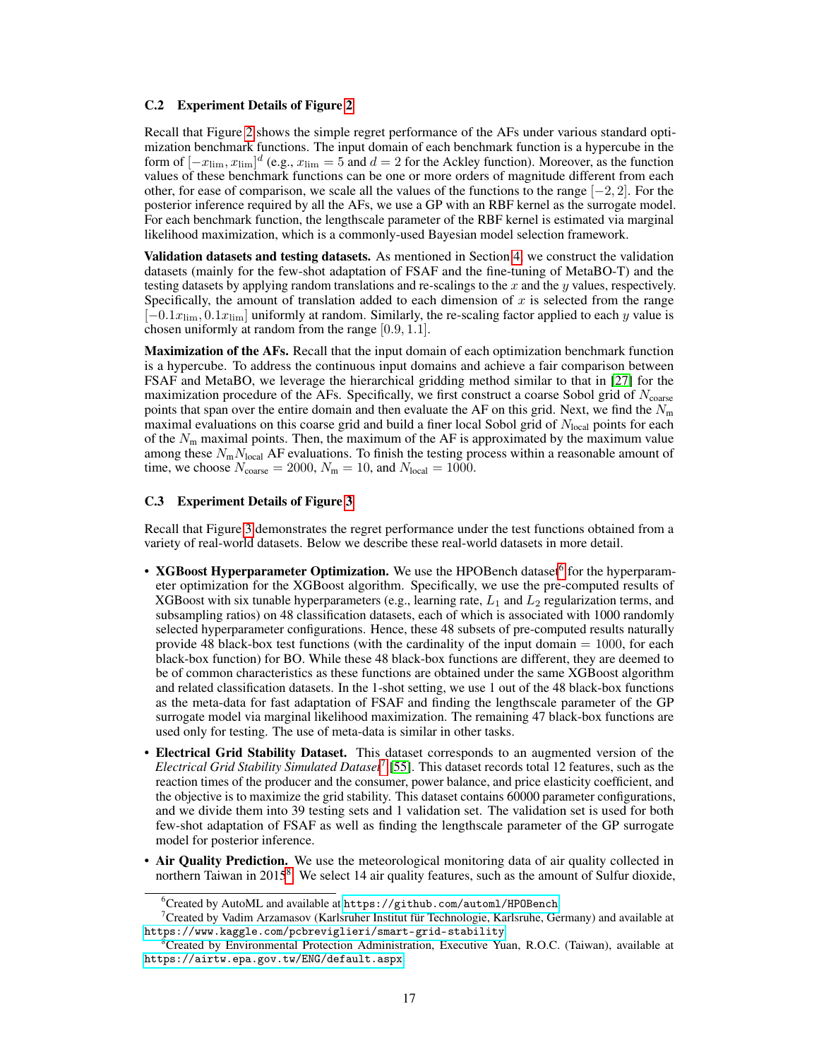### <span id="page-2-0"></span>C.2 Experiment Details of Figure [2](#page--1-8)

Recall that Figure [2](#page--1-8) shows the simple regret performance of the AFs under various standard optimization benchmark functions. The input domain of each benchmark function is a hypercube in the form of  $[-x_{\text{lim}}, x_{\text{lim}}]^d$  (e.g.,  $x_{\text{lim}} = 5$  and  $d = 2$  for the Ackley function). Moreover, as the function values of these benchmark functions can be one or more orders of magnitude different from each other, for ease of comparison, we scale all the values of the functions to the range  $[-2, 2]$ . For the posterior inference required by all the AFs, we use a GP with an RBF kernel as the surrogate model. For each benchmark function, the lengthscale parameter of the RBF kernel is estimated via marginal likelihood maximization, which is a commonly-used Bayesian model selection framework.

Validation datasets and testing datasets. As mentioned in Section [4,](#page--1-9) we construct the validation datasets (mainly for the few-shot adaptation of FSAF and the fine-tuning of MetaBO-T) and the testing datasets by applying random translations and re-scalings to the  $x$  and the  $y$  values, respectively. Specifically, the amount of translation added to each dimension of  $x$  is selected from the range  $[-0.1x_{\text{lim}}, 0.1x_{\text{lim}}]$  uniformly at random. Similarly, the re-scaling factor applied to each y value is chosen uniformly at random from the range [0.9, 1.1].

Maximization of the AFs. Recall that the input domain of each optimization benchmark function is a hypercube. To address the continuous input domains and achieve a fair comparison between FSAF and MetaBO, we leverage the hierarchical gridding method similar to that in [\[27\]](#page--1-10) for the maximization procedure of the AFs. Specifically, we first construct a coarse Sobol grid of  $N_{\text{coarse}}$ points that span over the entire domain and then evaluate the AF on this grid. Next, we find the  $N<sub>m</sub>$ maximal evaluations on this coarse grid and build a finer local Sobol grid of  $N_{\text{local}}$  points for each of the  $N<sub>m</sub>$  maximal points. Then, the maximum of the AF is approximated by the maximum value among these  $N_{\rm m}N_{\rm local}$  AF evaluations. To finish the testing process within a reasonable amount of time, we choose  $N_{\text{coarse}} = 2000$ ,  $N_{\text{m}} = 10$ , and  $N_{\text{local}} = 1000$ .

#### <span id="page-2-1"></span>C.3 Experiment Details of Figure [3](#page--1-11)

Recall that Figure [3](#page--1-11) demonstrates the regret performance under the test functions obtained from a variety of real-world datasets. Below we describe these real-world datasets in more detail.

- XGBoost Hyperparameter Optimization. We use the HPOBench dataset<sup>[6](#page--1-12)</sup> for the hyperparameter optimization for the XGBoost algorithm. Specifically, we use the pre-computed results of XGBoost with six tunable hyperparameters (e.g., learning rate,  $L_1$  and  $L_2$  regularization terms, and subsampling ratios) on 48 classification datasets, each of which is associated with 1000 randomly selected hyperparameter configurations. Hence, these 48 subsets of pre-computed results naturally provide 48 black-box test functions (with the cardinality of the input domain  $= 1000$ , for each black-box function) for BO. While these 48 black-box functions are different, they are deemed to be of common characteristics as these functions are obtained under the same XGBoost algorithm and related classification datasets. In the 1-shot setting, we use 1 out of the 48 black-box functions as the meta-data for fast adaptation of FSAF and finding the lengthscale parameter of the GP surrogate model via marginal likelihood maximization. The remaining 47 black-box functions are used only for testing. The use of meta-data is similar in other tasks.
- Electrical Grid Stability Dataset. This dataset corresponds to an augmented version of the *Electrical Grid Stability Simulated Dataset*[7](#page--1-12) [\[55\]](#page--1-13). This dataset records total 12 features, such as the reaction times of the producer and the consumer, power balance, and price elasticity coefficient, and the objective is to maximize the grid stability. This dataset contains 60000 parameter configurations, and we divide them into 39 testing sets and 1 validation set. The validation set is used for both few-shot adaptation of FSAF as well as finding the lengthscale parameter of the GP surrogate model for posterior inference.
- Air Quality Prediction. We use the meteorological monitoring data of air quality collected in northern Taiwan in 2015<sup>[8](#page--1-12)</sup>. We select 14 air quality features, such as the amount of Sulfur dioxide,

 $6C$ reated by AutoML and available at <https://github.com/automl/HPOBench>.

<sup>7</sup>Created by Vadim Arzamasov (Karlsruher Institut für Technologie, Karlsruhe, Germany) and available at <https://www.kaggle.com/pcbreviglieri/smart-grid-stability>.

<sup>8</sup>Created by Environmental Protection Administration, Executive Yuan, R.O.C. (Taiwan), available at <https://airtw.epa.gov.tw/ENG/default.aspx>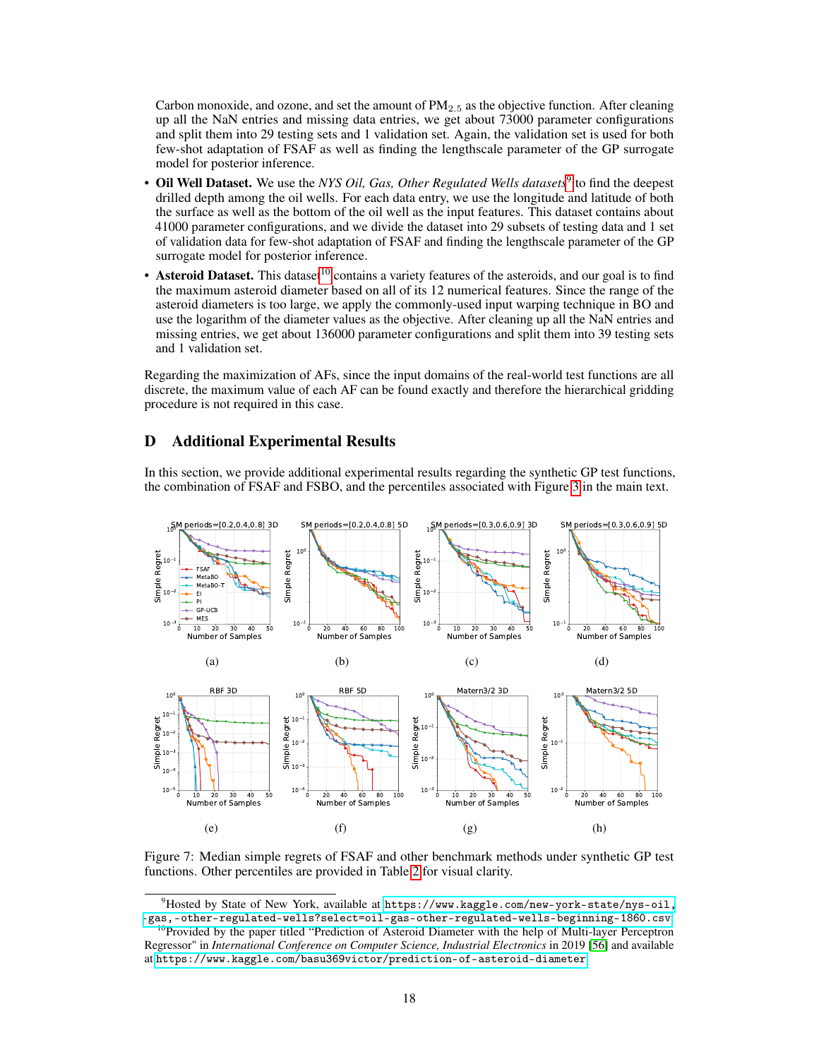Carbon monoxide, and ozone, and set the amount of  $PM_{2.5}$  as the objective function. After cleaning up all the NaN entries and missing data entries, we get about 73000 parameter configurations and split them into 29 testing sets and 1 validation set. Again, the validation set is used for both few-shot adaptation of FSAF as well as finding the lengthscale parameter of the GP surrogate model for posterior inference.

- Oil Well Dataset. We use the *NYS Oil, Gas, Other Regulated Wells datasets*<sup>[9](#page--1-12)</sup> to find the deepest drilled depth among the oil wells. For each data entry, we use the longitude and latitude of both the surface as well as the bottom of the oil well as the input features. This dataset contains about 41000 parameter configurations, and we divide the dataset into 29 subsets of testing data and 1 set of validation data for few-shot adaptation of FSAF and finding the lengthscale parameter of the GP surrogate model for posterior inference.
- Asteroid Dataset. This dataset<sup>[10](#page--1-12)</sup> contains a variety features of the asteroids, and our goal is to find the maximum asteroid diameter based on all of its 12 numerical features. Since the range of the asteroid diameters is too large, we apply the commonly-used input warping technique in BO and use the logarithm of the diameter values as the objective. After cleaning up all the NaN entries and missing entries, we get about 136000 parameter configurations and split them into 39 testing sets and 1 validation set.

Regarding the maximization of AFs, since the input domains of the real-world test functions are all discrete, the maximum value of each AF can be found exactly and therefore the hierarchical gridding procedure is not required in this case.

## D Additional Experimental Results

In this section, we provide additional experimental results regarding the synthetic GP test functions, the combination of FSAF and FSBO, and the percentiles associated with Figure [3](#page--1-11) in the main text.

<span id="page-3-2"></span><span id="page-3-1"></span>

<span id="page-3-4"></span><span id="page-3-3"></span><span id="page-3-0"></span>Figure 7: Median simple regrets of FSAF and other benchmark methods under synthetic GP test functions. Other percentiles are provided in Table [2](#page-5-0) for visual clarity.

 $^{9}$ Hosted by State of New York, available at [https://www.kaggle.com/new-york-state/nys-oil,](https://www.kaggle.com/new-york-state/nys-oil,-gas,-other-regulated-wells?select=oil-gas-other-regulated-wells-beginning-1860.csv) [-gas,-other-regulated-wells?select=oil-gas-other-regulated-wells-beginning-1860.csv](https://www.kaggle.com/new-york-state/nys-oil,-gas,-other-regulated-wells?select=oil-gas-other-regulated-wells-beginning-1860.csv).

<sup>&</sup>lt;sup>10</sup>Provided by the paper titled "Prediction of Asteroid Diameter with the help of Multi-layer Perceptron Regressor" in *International Conference on Computer Science, Industrial Electronics* in 2019 [\[56\]](#page--1-14) and available at <https://www.kaggle.com/basu369victor/prediction-of-asteroid-diameter>.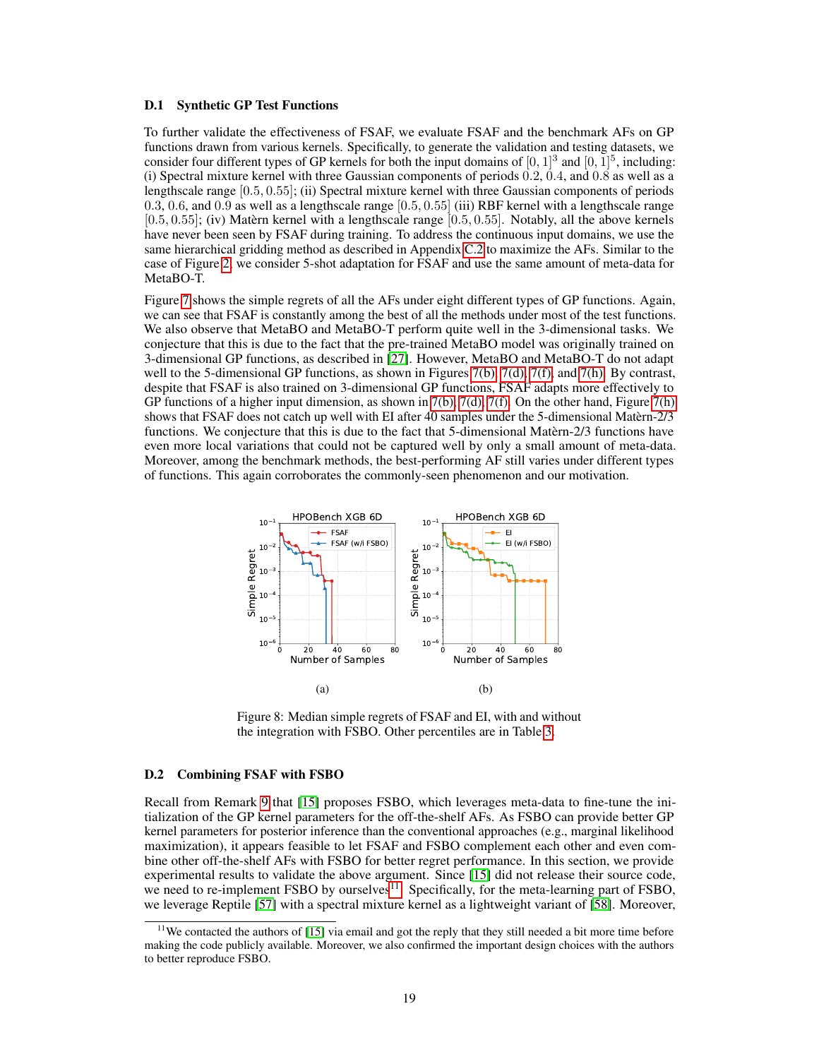#### D.1 Synthetic GP Test Functions

To further validate the effectiveness of FSAF, we evaluate FSAF and the benchmark AFs on GP functions drawn from various kernels. Specifically, to generate the validation and testing datasets, we consider four different types of GP kernels for both the input domains of  $[0, 1]^3$  and  $[0, 1]^5$ , including: (i) Spectral mixture kernel with three Gaussian components of periods 0.2, 0.4, and 0.8 as well as a lengthscale range [0.5, 0.55]; (ii) Spectral mixture kernel with three Gaussian components of periods 0.3, 0.6, and 0.9 as well as a lengthscale range [0.5, 0.55] (iii) RBF kernel with a lengthscale range  $[0.5, 0.55]$ ; (iv) Matèrn kernel with a lengthscale range  $[0.5, 0.55]$ . Notably, all the above kernels have never been seen by FSAF during training. To address the continuous input domains, we use the same hierarchical gridding method as described in Appendix [C.2](#page-2-0) to maximize the AFs. Similar to the case of Figure [2,](#page--1-8) we consider 5-shot adaptation for FSAF and use the same amount of meta-data for MetaBO-T.

Figure [7](#page-3-0) shows the simple regrets of all the AFs under eight different types of GP functions. Again, we can see that FSAF is constantly among the best of all the methods under most of the test functions. We also observe that MetaBO and MetaBO-T perform quite well in the 3-dimensional tasks. We conjecture that this is due to the fact that the pre-trained MetaBO model was originally trained on 3-dimensional GP functions, as described in [\[27\]](#page--1-10). However, MetaBO and MetaBO-T do not adapt well to the 5-dimensional GP functions, as shown in Figures [7\(b\),](#page-3-1) [7\(d\),](#page-3-2) [7\(f\),](#page-3-3) and [7\(h\).](#page-3-4) By contrast, despite that FSAF is also trained on 3-dimensional GP functions, FSAF adapts more effectively to GP functions of a higher input dimension, as shown in [7\(b\),](#page-3-1) [7\(d\),](#page-3-2) [7\(f\).](#page-3-3) On the other hand, Figure [7\(h\)](#page-3-4) shows that FSAF does not catch up well with EI after 40 samples under the 5-dimensional Matèrn-2/3 functions. We conjecture that this is due to the fact that 5-dimensional Matèrn-2/3 functions have even more local variations that could not be captured well by only a small amount of meta-data. Moreover, among the benchmark methods, the best-performing AF still varies under different types of functions. This again corroborates the commonly-seen phenomenon and our motivation.



<span id="page-4-0"></span>Figure 8: Median simple regrets of FSAF and EI, with and without the integration with FSBO. Other percentiles are in Table [3.](#page-6-0)

### D.2 Combining FSAF with FSBO

Recall from Remark [9](#page--1-15) that [\[15\]](#page--1-16) proposes FSBO, which leverages meta-data to fine-tune the initialization of the GP kernel parameters for the off-the-shelf AFs. As FSBO can provide better GP kernel parameters for posterior inference than the conventional approaches (e.g., marginal likelihood maximization), it appears feasible to let FSAF and FSBO complement each other and even combine other off-the-shelf AFs with FSBO for better regret performance. In this section, we provide experimental results to validate the above argument. Since [\[15\]](#page--1-16) did not release their source code, we need to re-implement FSBO by ourselves<sup>[11](#page--1-12)</sup>. Specifically, for the meta-learning part of FSBO, we leverage Reptile [\[57\]](#page--1-17) with a spectral mixture kernel as a lightweight variant of [\[58\]](#page--1-18). Moreover,

<sup>&</sup>lt;sup>11</sup>We contacted the authors of [\[15\]](#page--1-16) via email and got the reply that they still needed a bit more time before making the code publicly available. Moreover, we also confirmed the important design choices with the authors to better reproduce FSBO.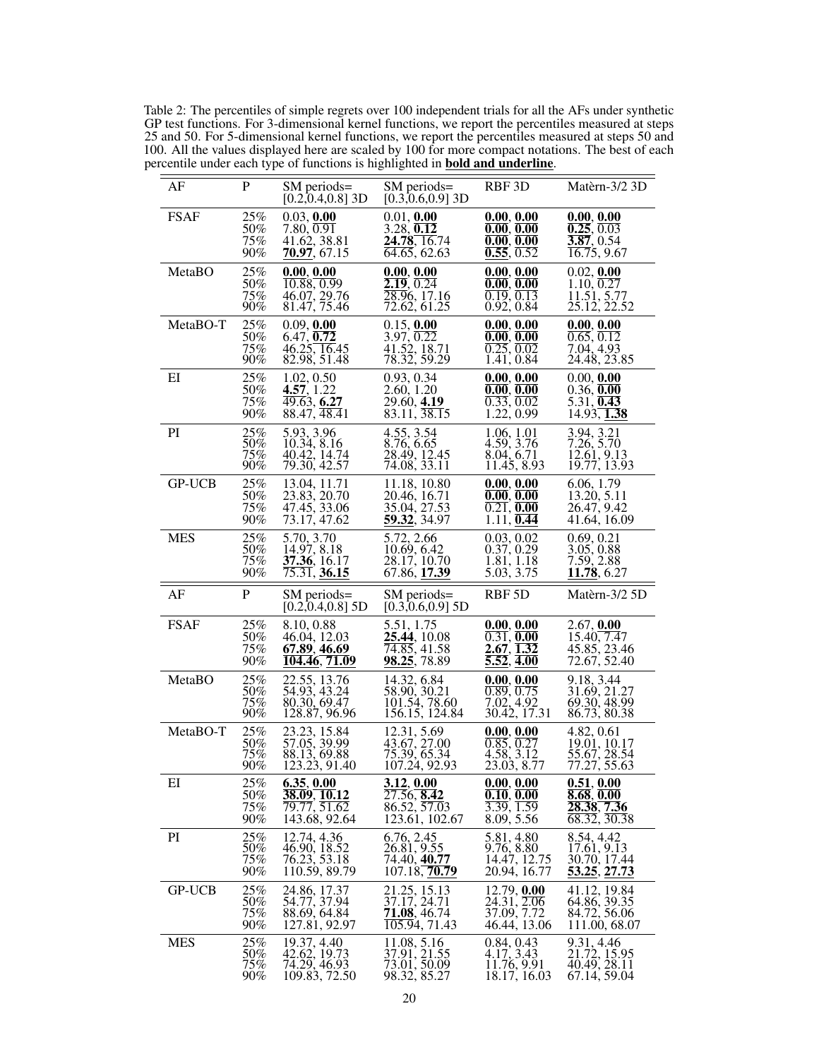<span id="page-5-0"></span>Table 2: The percentiles of simple regrets over 100 independent trials for all the AFs under synthetic GP test functions. For 3-dimensional kernel functions, we report the percentiles measured at steps 25 and 50. For 5-dimensional kernel functions, we report the percentiles measured at steps 50 and 100. All the values displayed here are scaled by 100 for more compact notations. The best of each percentile under each type of functions is highlighted in **bold and underline**.

| AF            | P                              | SM periods=<br>$[0.2, 0.4, 0.8]$ 3D                           | SM periods=<br>$[0.3, 0.6, 0.9]$ 3D                                         | RBF 3D                                                                               | Matèrn-3/2 3D                                                 |
|---------------|--------------------------------|---------------------------------------------------------------|-----------------------------------------------------------------------------|--------------------------------------------------------------------------------------|---------------------------------------------------------------|
| <b>FSAF</b>   | 25%                            | 0.03, 0.00                                                    | 0.01, 0.00                                                                  | 0.00, 0.00                                                                           | 0.00, 0.00                                                    |
|               | 50%                            | 7.80, 0.91                                                    | 3.28, 0.12                                                                  | 0.00, 0.00                                                                           | $\overline{0.25}, \overline{0.03}$                            |
|               | 75%                            | 41.62, 38.81                                                  | 24.78, 16.74                                                                | 0.00, 0.00                                                                           | $\overline{3.87}$ , 0.54                                      |
|               | 90%                            | 70.97, 67.15                                                  | 64.65, 62.63                                                                | 0.55, 0.52                                                                           | $\overline{16.7}5, 9.67$                                      |
| MetaBO        | 25%                            | 0.00, 0.00                                                    | 0.00, 0.00                                                                  | 0.00, 0.00                                                                           | 0.02, 0.00                                                    |
|               | 50%                            | $\overline{10.88, 0.99}$                                      | 2.19, 0.24                                                                  | 0.00, 0.00                                                                           | 1.10, 0.27                                                    |
|               | 75%                            | 46.07, 29.76                                                  | $\overline{28.9}6, 17.16$                                                   | 0.19, 0.13                                                                           | 11.51, 5.77                                                   |
|               | $90\%$                         | 81.47, 75.46                                                  | 72.62, 61.25                                                                | 0.92, 0.84                                                                           | 25.12, 22.52                                                  |
| MetaBO-T      | 25%<br>50%<br>75%<br>90%       | 0.09, 0.00<br>6.47, 0.72<br>46.25, 16.45<br>82.98, 51.48      | 0.15, 0.00<br>3.97, 0.22<br>41.52, 18.71<br>78.32, 59.29                    | 0.00, 0.00<br>0.00, 0.00<br>0.25, 0.02<br>1.41, 0.84                                 | 0.00, 0.00<br>0.65, 0.12<br>7.04, 4.93<br>24.48, 23.85        |
| EI            | 25%                            | 1.02, 0.50                                                    | 0.93, 0.34                                                                  | 0.00, 0.00                                                                           | 0.00, 0.00                                                    |
|               | 50%                            | 4.57, 1.22                                                    | 2.60, 1.20                                                                  | 0.00, 0.00                                                                           | 0.36, 0.00                                                    |
|               | 75%                            | 49.63, 6.27                                                   | 29.60, 4.19                                                                 | $\overline{0.33}, \overline{0.02}$                                                   | 5.31, 0.43                                                    |
|               | 90%                            | $88.47, \overline{48.41}$                                     | $83.11, \overline{38.15}$                                                   | 1.22, 0.99                                                                           | 14.93, 1.38                                                   |
| PI            | 25%<br>50%<br>75%<br>$90\%$    | 5.93, 3.96<br>10.34, 8.16<br>40.42, 14.74<br>79.30, 42.57     | 4.55, 3.54<br>8.76, 6.65<br>28.49, 12.45<br>74.08, 33.11                    | 1.06, 1.01<br>$\begin{array}{c} 4.59, 3.76 \\ 8.04, 6.71 \end{array}$<br>11.45, 8.93 | 3.94, 3.21<br>7.26, 5.70<br>12.61, 9.13<br>19.77, 13.93       |
| <b>GP-UCB</b> | 25%                            | 13.04, 11.71                                                  | 11.18, 10.80                                                                | 0.00, 0.00                                                                           | 6.06, 1.79                                                    |
|               | 50%                            | 23.83, 20.70                                                  | 20.46, 16.71                                                                | 0.00, 0.00                                                                           | 13.20, 5.11                                                   |
|               | 75%                            | 47.45, 33.06                                                  | 35.04, 27.53                                                                | $\overline{0.21}$ , <b>0.00</b>                                                      | 26.47, 9.42                                                   |
|               | 90%                            | 73.17, 47.62                                                  | 59.32, 34.97                                                                | 1.11, 0.44                                                                           | 41.64, 16.09                                                  |
| <b>MES</b>    | 25%                            | 5.70, 3.70                                                    | 5.72, 2.66                                                                  | 0.03, 0.02                                                                           | 0.69, 0.21                                                    |
|               | $\overline{50\%}$              | 14.97, 8.18                                                   | 10.69, 6.42                                                                 | 0.37, 0.29                                                                           | 3.05, 0.88                                                    |
|               | 75%                            | 37.36, 16.17                                                  | 28.17, 10.70                                                                | 1.81, 1.18                                                                           | 7.59, 2.88                                                    |
|               | 90%                            | 75.31, 36.15                                                  | 67.86, 17.39                                                                | 5.03, 3.75                                                                           | 11.78, 6.27                                                   |
| AF            | P                              | SM periods=<br>$[0.2, 0.4, 0.8]$ 5D                           | SM periods=<br>$[0.3, 0.6, 0.9]$ 5D                                         | RBF <sub>5</sub> D                                                                   | Matèrn-3/2 5D                                                 |
| <b>FSAF</b>   | 25%                            | 8.10, 0.88                                                    | 5.51, 1.75                                                                  | 0.00, 0.00                                                                           | 2.67, 0.00                                                    |
|               | 50%                            | 46.04, 12.03                                                  | 25.44, 10.08                                                                | $\overline{0.31}$ , $\overline{0.00}$                                                | 15.40, 7.47                                                   |
|               | 75%                            | 67.89, 46.69                                                  | 74.85, 41.58                                                                | $2.67, \overline{1.32}$                                                              | 45.85, 23.46                                                  |
|               | 90%                            | <u>104.46, 71.09</u>                                          | 98.25, 78.89                                                                | $\overline{5.52}, \overline{4.00}$                                                   | 72.67, 52.40                                                  |
| MetaBO        | 25%                            | 22.55, 13.76                                                  | 14.32, 6.84                                                                 | 0.00, 0.00                                                                           | 9.18, 3.44                                                    |
|               | 50%                            | 54.93, 43.24                                                  | 58.90, 30.21                                                                | $\overline{0.89}, \overline{0.75}$                                                   | 31.69, 21.27                                                  |
|               | 75%                            | 80.30, 69.47                                                  | 101.54, 78.60                                                               | 7.02, 4.92                                                                           | 69.30, 48.99                                                  |
|               | $90\%$                         | 128.87, 96.96                                                 | 156.15, 124.84                                                              | 30.42, 17.31                                                                         | 86.73, 80.38                                                  |
| MetaBO-T      | 25%<br>50%<br>75%<br>90%       | 23.23, 15.84<br>57.05, 39.99<br>88.13, 69.88<br>123.23, 91.40 | 12.31, 5.69<br>43.67, 27.00<br>75.39, 65.34<br>107.24, 92.93                | 0.00, 0.00<br>0.85, 0.27<br>4.58, 3.12<br>23.03, 8.77                                | 4.82, 0.61<br>19.01, 10.17<br>55.67, 28.54<br>77.27, 55.63    |
| EI            | 25%                            | 6.35, 0.00                                                    | 3.12, 0.00                                                                  | 0.00, 0.00                                                                           | 0.51, 0.00                                                    |
|               | 50%                            | 38.09, 10.12                                                  | $\overline{27.56, 8.42}$                                                    | 0.10, 0.00                                                                           | 8.68, 0.00                                                    |
|               | 75%                            | 79.77, 51.62                                                  | $86.52, \overline{57.03}$                                                   | $\overline{3.39}, \overline{1.59}$                                                   | $28.\overline{38}, \overline{7.36}$                           |
|               | 90%                            | 143.68, 92.64                                                 | 123.61, 102.67                                                              | 8.09, 5.56                                                                           | $\overline{68.32}, \overline{30.38}$                          |
| PI            | 25%                            | 12.74, 4.36                                                   | 6.76, 2.45                                                                  | 5.81, 4.80                                                                           | 8.54, 4.42                                                    |
|               | 50%                            | 46.90, 18.52                                                  | 26.81, 9.55                                                                 | 9.76, 8.80                                                                           | 17.61, 9.13                                                   |
|               | 75%                            | 76.23, 53.18                                                  | 74.40, 4 <b>0.77</b>                                                        | 14.47, 12.75                                                                         | 30.70, 17.44                                                  |
|               | 90%                            | 110.59, 89.79                                                 | 107.18, 70.79                                                               | 20.94, 16.77                                                                         | 53.25, 27.73                                                  |
| <b>GP-UCB</b> | 25%<br>$^{50\%}_{75\%}$<br>90% | 24.86, 17.37<br>54.77, 37.94<br>88.69, 64.84<br>127.81, 92.97 | 21.25, 15.13<br>37.17, 24.71<br>71.08, 46.74<br>$\overline{105.94}$ , 71.43 | 12.79, 0.00<br>24.31, 2.06<br>37.09, 7.72<br>46.44, 13.06                            | 41.12, 19.84<br>64.86, 39.35<br>84.72, 56.06<br>111.00, 68.07 |
| <b>MES</b>    | 25%<br>50%<br>75%<br>90%       | 19.37, 4.40<br>42.62, 19.73<br>74.29, 46.93<br>109.83, 72.50  | 11.08, 5.16<br>37.91, 21.55<br>73.01, 50.09<br>98.32, 85.27                 | 0.84, 0.43<br>4.17, 3.43<br>11.76, 9.91<br>18.17, 16.03                              | 9.31, 4.46<br>21.72, 15.95<br>40.49, 28.11<br>67.14, 59.04    |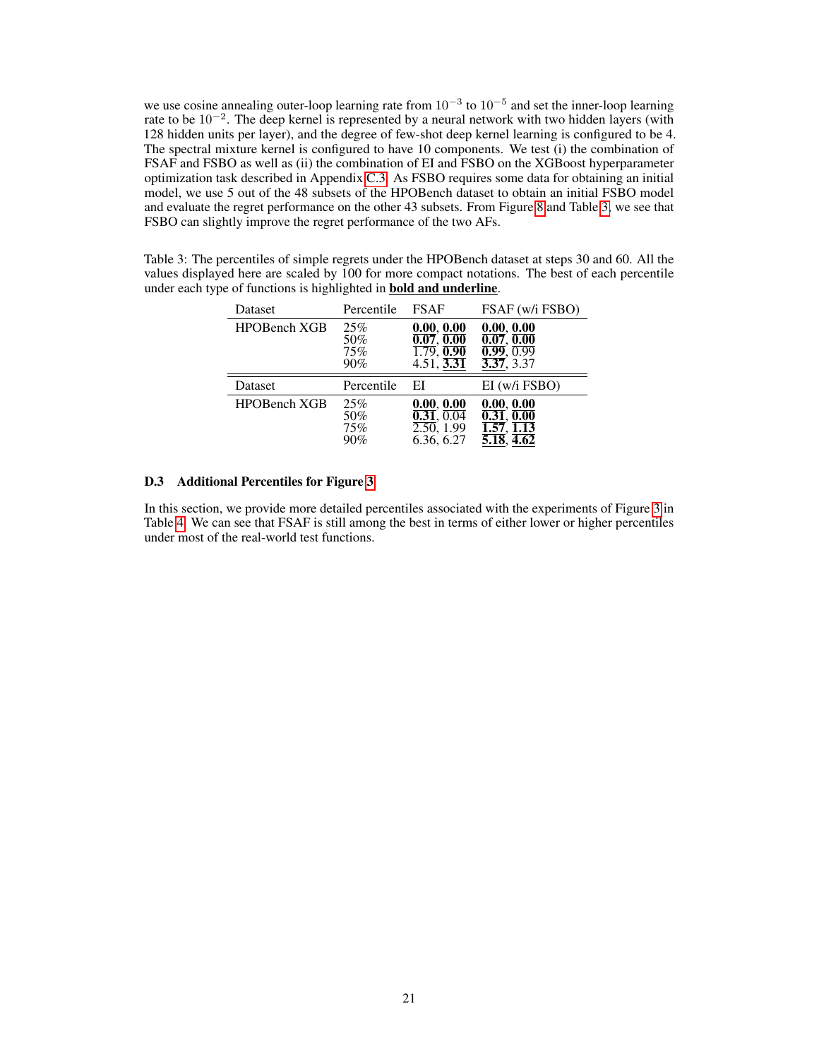we use cosine annealing outer-loop learning rate from  $10^{-3}$  to  $10^{-5}$  and set the inner-loop learning rate to be 10<sup>-2</sup>. The deep kernel is represented by a neural network with two hidden layers (with 128 hidden units per layer), and the degree of few-shot deep kernel learning is configured to be 4. The spectral mixture kernel is configured to have 10 components. We test (i) the combination of FSAF and FSBO as well as (ii) the combination of EI and FSBO on the XGBoost hyperparameter optimization task described in Appendix [C.3.](#page-2-1) As FSBO requires some data for obtaining an initial model, we use 5 out of the 48 subsets of the HPOBench dataset to obtain an initial FSBO model and evaluate the regret performance on the other 43 subsets. From Figure [8](#page-4-0) and Table [3,](#page-6-0) we see that FSBO can slightly improve the regret performance of the two AFs.

<span id="page-6-0"></span>Table 3: The percentiles of simple regrets under the HPOBench dataset at steps 30 and 60. All the values displayed here are scaled by 100 for more compact notations. The best of each percentile under each type of functions is highlighted in bold and underline.

| Dataset             | Percentile               | <b>FSAF</b>                                                                                            | FSAF (w/i FSBO)                                                              |
|---------------------|--------------------------|--------------------------------------------------------------------------------------------------------|------------------------------------------------------------------------------|
| <b>HPOBench XGB</b> | 25%<br>50%<br>75%<br>90% | 0.00, 0.00<br>$\overline{0.07},\overline{0.00}$<br>$\overline{1.79}$ , 0.90<br>$4.51, \overline{3.31}$ | 0.00, 0.00<br>0.07, 0.00<br>$\overline{0.99}, \overline{0.99}$<br>3.37, 3.37 |
|                     |                          |                                                                                                        |                                                                              |
| Dataset             | Percentile               | EI                                                                                                     | EI (w/i FSBO)                                                                |

### D.3 Additional Percentiles for Figure [3](#page--1-11)

In this section, we provide more detailed percentiles associated with the experiments of Figure [3](#page--1-11) in Table [4.](#page-7-0) We can see that FSAF is still among the best in terms of either lower or higher percentiles under most of the real-world test functions.